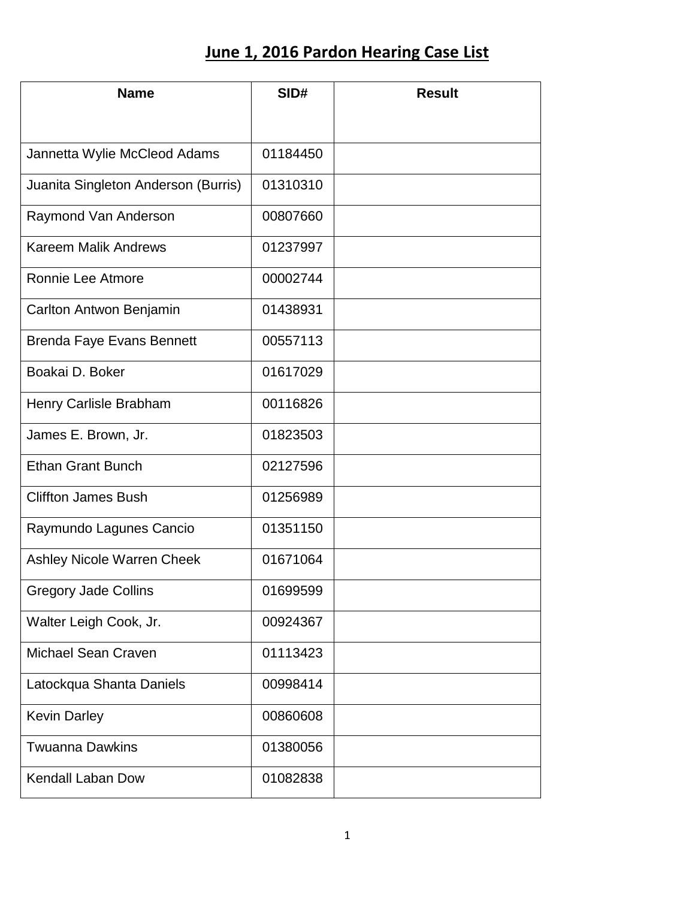## **June 1, 2016 Pardon Hearing Case List**

| <b>Name</b>                         | SID#     | <b>Result</b> |
|-------------------------------------|----------|---------------|
|                                     |          |               |
| Jannetta Wylie McCleod Adams        | 01184450 |               |
| Juanita Singleton Anderson (Burris) | 01310310 |               |
| Raymond Van Anderson                | 00807660 |               |
| <b>Kareem Malik Andrews</b>         | 01237997 |               |
| Ronnie Lee Atmore                   | 00002744 |               |
| Carlton Antwon Benjamin             | 01438931 |               |
| <b>Brenda Faye Evans Bennett</b>    | 00557113 |               |
| Boakai D. Boker                     | 01617029 |               |
| Henry Carlisle Brabham              | 00116826 |               |
| James E. Brown, Jr.                 | 01823503 |               |
| <b>Ethan Grant Bunch</b>            | 02127596 |               |
| <b>Cliffton James Bush</b>          | 01256989 |               |
| Raymundo Lagunes Cancio             | 01351150 |               |
| Ashley Nicole Warren Cheek          | 01671064 |               |
| <b>Gregory Jade Collins</b>         | 01699599 |               |
| Walter Leigh Cook, Jr.              | 00924367 |               |
| <b>Michael Sean Craven</b>          | 01113423 |               |
| Latockqua Shanta Daniels            | 00998414 |               |
| <b>Kevin Darley</b>                 | 00860608 |               |
| <b>Twuanna Dawkins</b>              | 01380056 |               |
| <b>Kendall Laban Dow</b>            | 01082838 |               |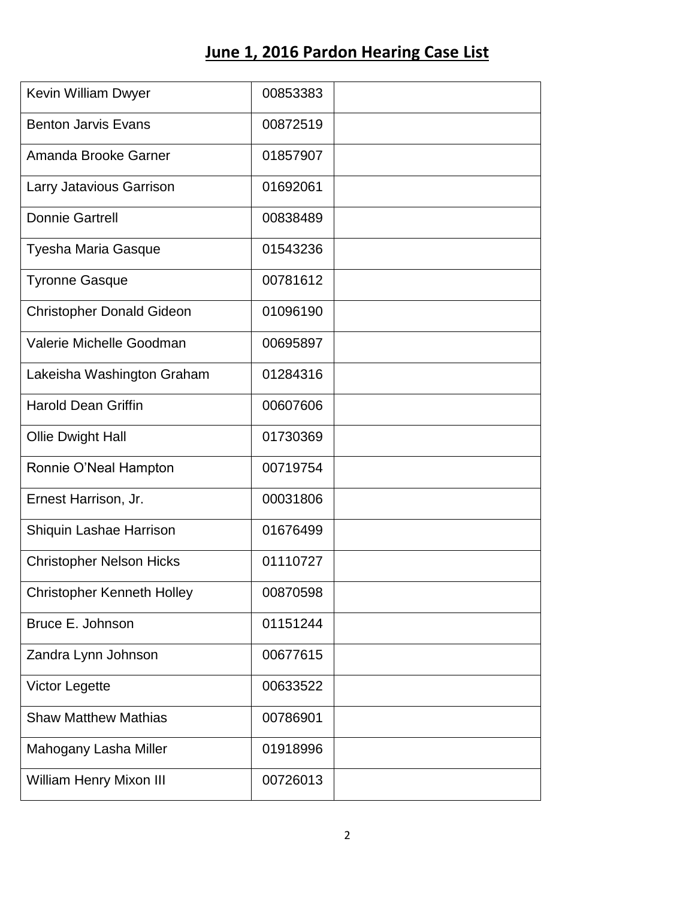## **June 1, 2016 Pardon Hearing Case List**

| Kevin William Dwyer               | 00853383 |  |
|-----------------------------------|----------|--|
| <b>Benton Jarvis Evans</b>        | 00872519 |  |
| Amanda Brooke Garner              | 01857907 |  |
| Larry Jatavious Garrison          | 01692061 |  |
| <b>Donnie Gartrell</b>            | 00838489 |  |
| Tyesha Maria Gasque               | 01543236 |  |
| <b>Tyronne Gasque</b>             | 00781612 |  |
| <b>Christopher Donald Gideon</b>  | 01096190 |  |
| Valerie Michelle Goodman          | 00695897 |  |
| Lakeisha Washington Graham        | 01284316 |  |
| <b>Harold Dean Griffin</b>        | 00607606 |  |
| Ollie Dwight Hall                 | 01730369 |  |
| Ronnie O'Neal Hampton             | 00719754 |  |
| Ernest Harrison, Jr.              | 00031806 |  |
| Shiquin Lashae Harrison           | 01676499 |  |
| <b>Christopher Nelson Hicks</b>   | 01110727 |  |
| <b>Christopher Kenneth Holley</b> | 00870598 |  |
| Bruce E. Johnson                  | 01151244 |  |
| Zandra Lynn Johnson               | 00677615 |  |
| <b>Victor Legette</b>             | 00633522 |  |
| <b>Shaw Matthew Mathias</b>       | 00786901 |  |
| Mahogany Lasha Miller             | 01918996 |  |
| William Henry Mixon III           | 00726013 |  |